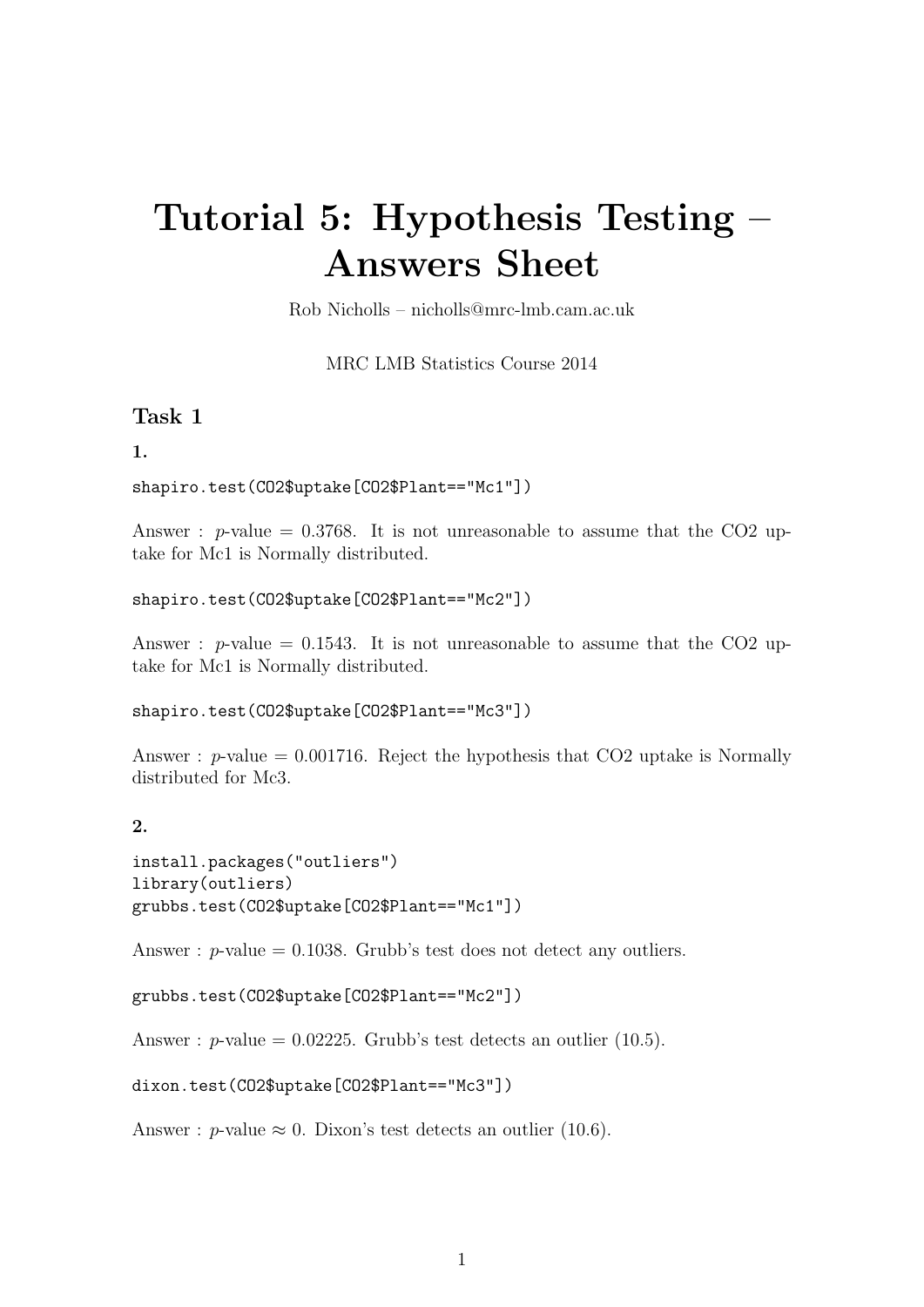# Tutorial 5: Hypothesis Testing – Answers Sheet

Rob Nicholls – nicholls@mrc-lmb.cam.ac.uk

MRC LMB Statistics Course 2014

# Task 1

## 1.

```
shapiro.test(CO2$uptake[CO2$Plant=="Mc1"])
```
Answer :  $p$ -value = 0.3768. It is not unreasonable to assume that the CO2 uptake for Mc1 is Normally distributed.

```
shapiro.test(CO2$uptake[CO2$Plant=="Mc2"])
```
Answer : p-value = 0.1543. It is not unreasonable to assume that the CO2 uptake for Mc1 is Normally distributed.

shapiro.test(CO2\$uptake[CO2\$Plant=="Mc3"])

Answer :  $p$ -value = 0.001716. Reject the hypothesis that CO2 uptake is Normally distributed for Mc3.

# $2<sup>2</sup>$

```
install.packages("outliers")
library(outliers)
grubbs.test(CO2$uptake[CO2$Plant=="Mc1"])
```
Answer :  $p$ -value = 0.1038. Grubb's test does not detect any outliers.

```
grubbs.test(CO2$uptake[CO2$Plant=="Mc2"])
```
Answer :  $p$ -value = 0.02225. Grubb's test detects an outlier (10.5).

dixon.test(CO2\$uptake[CO2\$Plant=="Mc3"])

Answer : p-value  $\approx 0$ . Dixon's test detects an outlier (10.6).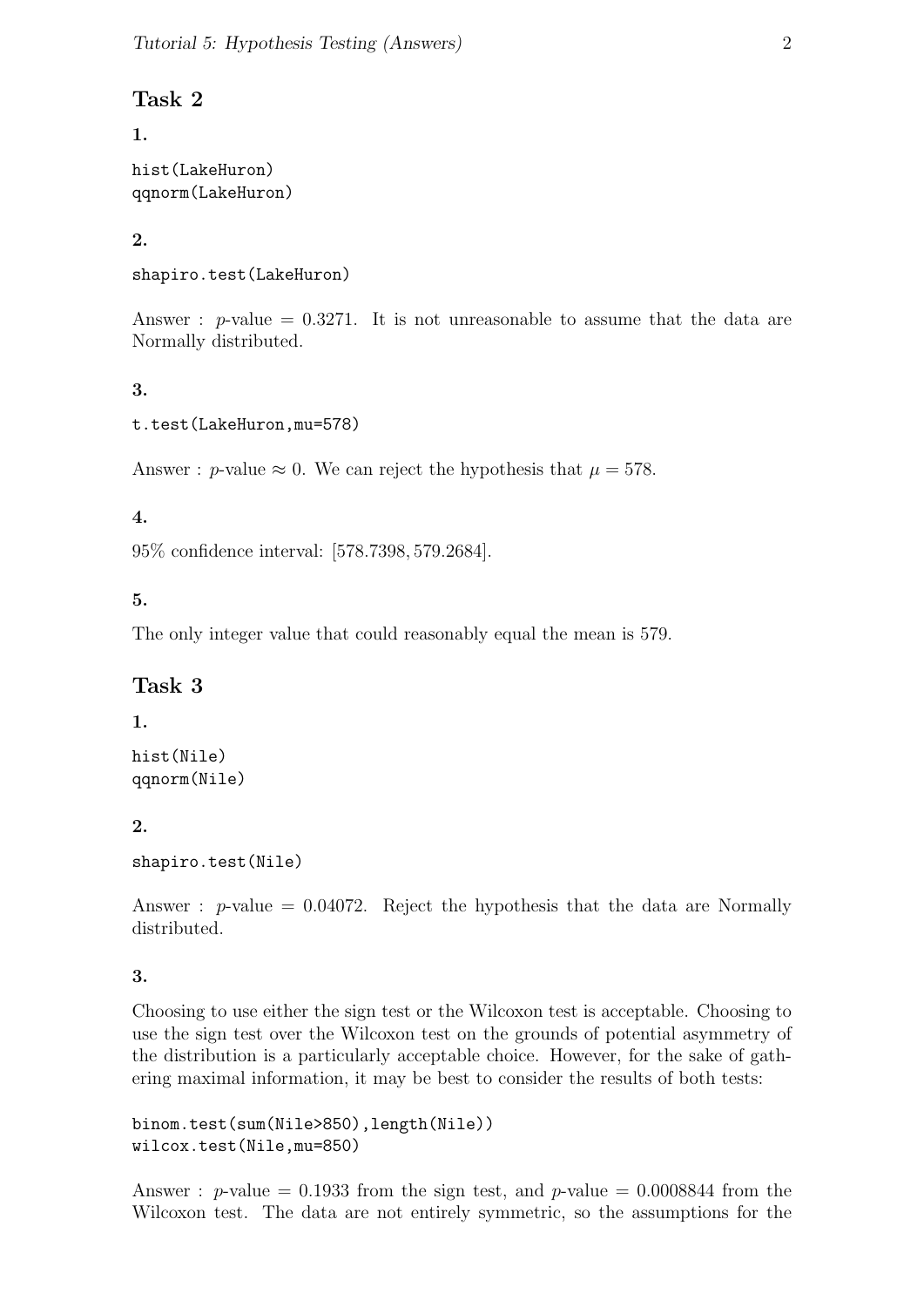# Task 2

1.

hist(LakeHuron) qqnorm(LakeHuron)

# 2.

```
shapiro.test(LakeHuron)
```
Answer :  $p$ -value = 0.3271. It is not unreasonable to assume that the data are Normally distributed.

# 3.

```
t.test(LakeHuron,mu=578)
```
Answer : p-value  $\approx 0$ . We can reject the hypothesis that  $\mu = 578$ .

# 4.

95% confidence interval: [578.7398, 579.2684].

# 5.

The only integer value that could reasonably equal the mean is 579.

# Task 3

# 1.

hist(Nile) qqnorm(Nile)

# 2.

```
shapiro.test(Nile)
```
Answer :  $p$ -value = 0.04072. Reject the hypothesis that the data are Normally distributed.

# 3.

Choosing to use either the sign test or the Wilcoxon test is acceptable. Choosing to use the sign test over the Wilcoxon test on the grounds of potential asymmetry of the distribution is a particularly acceptable choice. However, for the sake of gathering maximal information, it may be best to consider the results of both tests:

binom.test(sum(Nile>850),length(Nile)) wilcox.test(Nile,mu=850)

Answer : p-value = 0.1933 from the sign test, and p-value = 0.0008844 from the Wilcoxon test. The data are not entirely symmetric, so the assumptions for the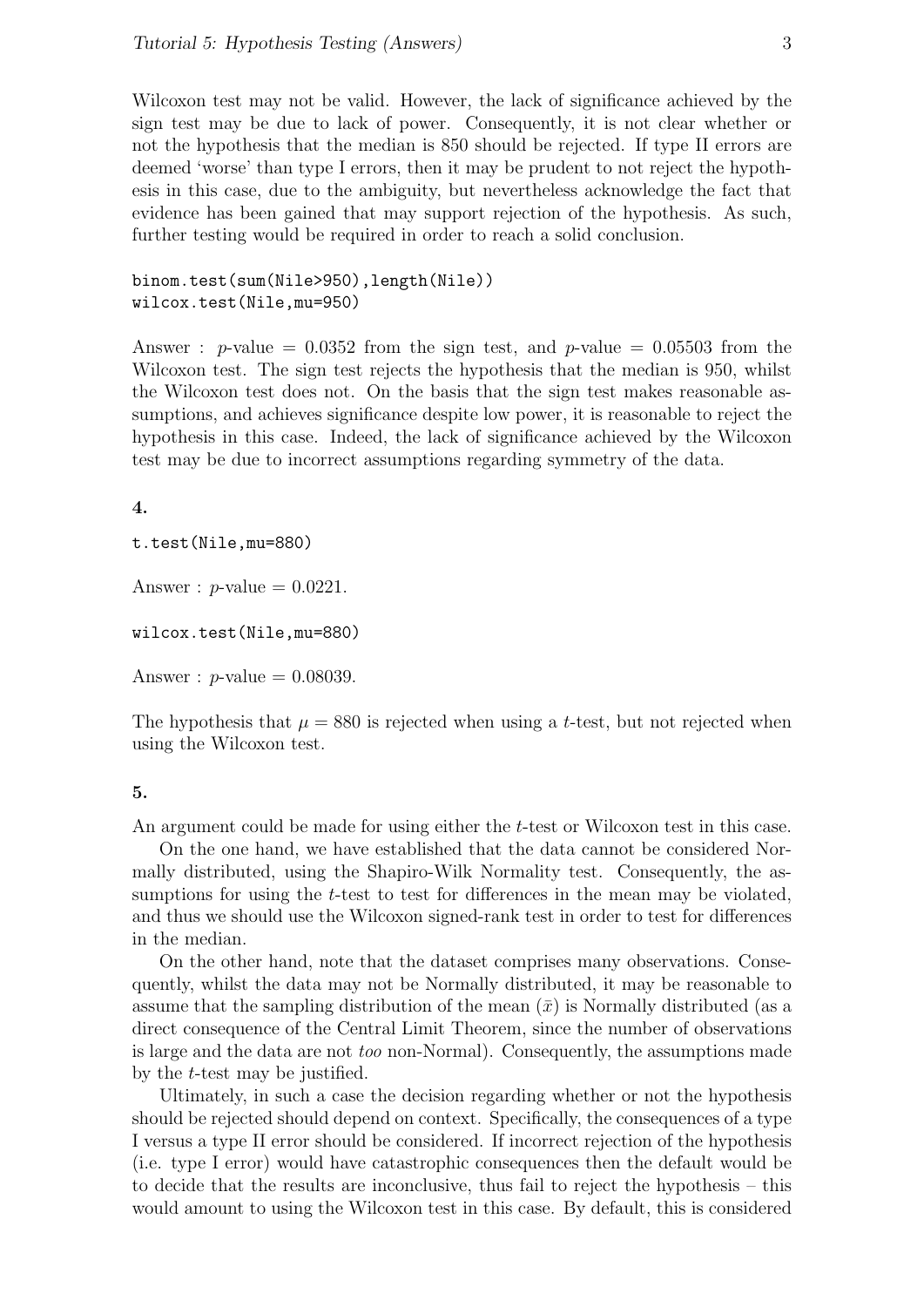Wilcoxon test may not be valid. However, the lack of significance achieved by the sign test may be due to lack of power. Consequently, it is not clear whether or not the hypothesis that the median is 850 should be rejected. If type II errors are deemed 'worse' than type I errors, then it may be prudent to not reject the hypothesis in this case, due to the ambiguity, but nevertheless acknowledge the fact that evidence has been gained that may support rejection of the hypothesis. As such, further testing would be required in order to reach a solid conclusion.

binom.test(sum(Nile>950),length(Nile)) wilcox.test(Nile,mu=950)

Answer : p-value =  $0.0352$  from the sign test, and p-value =  $0.05503$  from the Wilcoxon test. The sign test rejects the hypothesis that the median is 950, whilst the Wilcoxon test does not. On the basis that the sign test makes reasonable assumptions, and achieves significance despite low power, it is reasonable to reject the hypothesis in this case. Indeed, the lack of significance achieved by the Wilcoxon test may be due to incorrect assumptions regarding symmetry of the data.

#### 4.

t.test(Nile,mu=880)

Answer :  $p$ -value = 0.0221.

wilcox.test(Nile,mu=880)

Answer :  $p$ -value = 0.08039.

The hypothesis that  $\mu = 880$  is rejected when using a t-test, but not rejected when using the Wilcoxon test.

#### 5.

An argument could be made for using either the t-test or Wilcoxon test in this case.

On the one hand, we have established that the data cannot be considered Normally distributed, using the Shapiro-Wilk Normality test. Consequently, the assumptions for using the t-test to test for differences in the mean may be violated, and thus we should use the Wilcoxon signed-rank test in order to test for differences in the median.

On the other hand, note that the dataset comprises many observations. Consequently, whilst the data may not be Normally distributed, it may be reasonable to assume that the sampling distribution of the mean  $(\bar{x})$  is Normally distributed (as a direct consequence of the Central Limit Theorem, since the number of observations is large and the data are not too non-Normal). Consequently, the assumptions made by the t-test may be justified.

Ultimately, in such a case the decision regarding whether or not the hypothesis should be rejected should depend on context. Specifically, the consequences of a type I versus a type II error should be considered. If incorrect rejection of the hypothesis (i.e. type I error) would have catastrophic consequences then the default would be to decide that the results are inconclusive, thus fail to reject the hypothesis – this would amount to using the Wilcoxon test in this case. By default, this is considered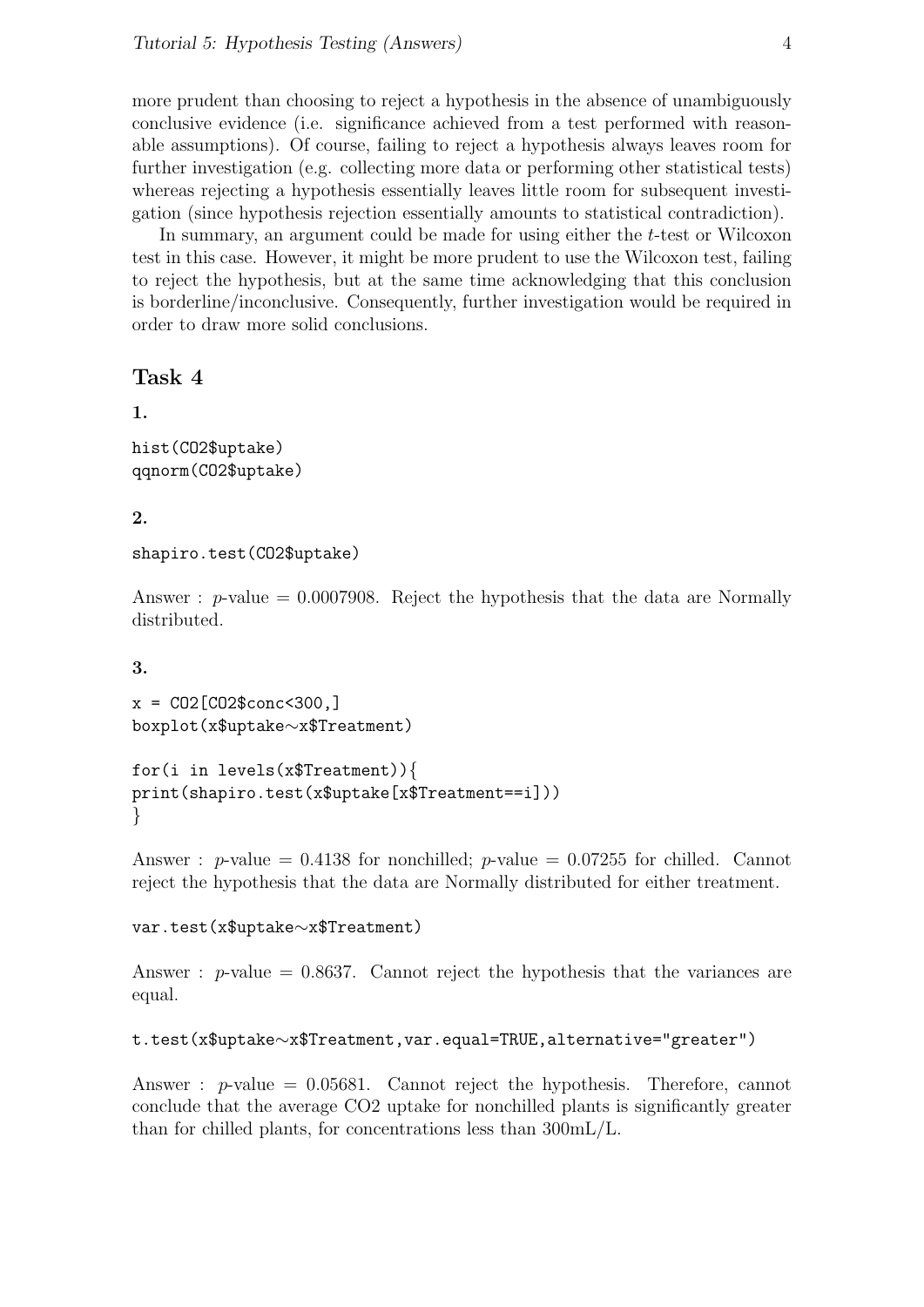more prudent than choosing to reject a hypothesis in the absence of unambiguously conclusive evidence (i.e. significance achieved from a test performed with reasonable assumptions). Of course, failing to reject a hypothesis always leaves room for further investigation (e.g. collecting more data or performing other statistical tests) whereas rejecting a hypothesis essentially leaves little room for subsequent investigation (since hypothesis rejection essentially amounts to statistical contradiction).

In summary, an argument could be made for using either the t-test or Wilcoxon test in this case. However, it might be more prudent to use the Wilcoxon test, failing to reject the hypothesis, but at the same time acknowledging that this conclusion is borderline/inconclusive. Consequently, further investigation would be required in order to draw more solid conclusions.

# Task 4

1.

```
hist(CO2$uptake)
qqnorm(CO2$uptake)
```
## 2.

```
shapiro.test(CO2$uptake)
```
Answer :  $p$ -value = 0.0007908. Reject the hypothesis that the data are Normally distributed.

3.

```
x = CO2[CO2$conc<300, ]boxplot(x$uptake∼x$Treatment)
```

```
for(i in levels(x$Treatment)){
print(shapiro.test(x$uptake[x$Treatment==i]))
}
```
Answer : p-value =  $0.4138$  for nonchilled; p-value =  $0.07255$  for chilled. Cannot reject the hypothesis that the data are Normally distributed for either treatment.

var.test(x\$uptake∼x\$Treatment)

Answer :  $p$ -value = 0.8637. Cannot reject the hypothesis that the variances are equal.

```
t.test(x$uptake∼x$Treatment,var.equal=TRUE,alternative="greater")
```
Answer :  $p$ -value = 0.05681. Cannot reject the hypothesis. Therefore, cannot conclude that the average CO2 uptake for nonchilled plants is significantly greater than for chilled plants, for concentrations less than 300mL/L.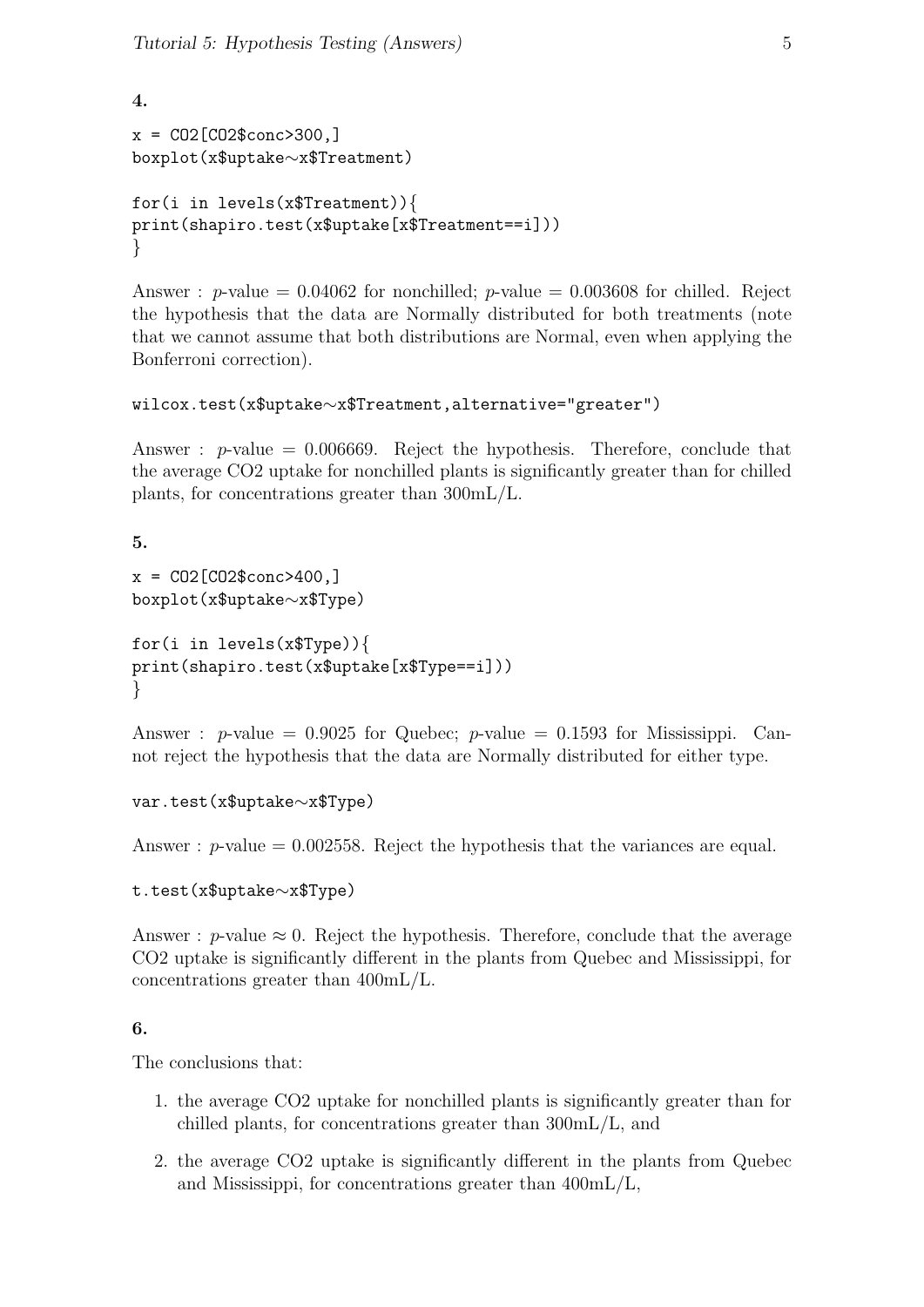```
4.
x = CO2[CO2$conc>300,]
boxplot(x$uptake∼x$Treatment)
for(i in levels(x$Treatment)){
print(shapiro.test(x$uptake[x$Treatment==i]))
}
```
Answer : p-value =  $0.04062$  for nonchilled; p-value =  $0.003608$  for chilled. Reject the hypothesis that the data are Normally distributed for both treatments (note that we cannot assume that both distributions are Normal, even when applying the Bonferroni correction).

# wilcox.test(x\$uptake∼x\$Treatment,alternative="greater")

Answer :  $p$ -value = 0.006669. Reject the hypothesis. Therefore, conclude that the average CO2 uptake for nonchilled plants is significantly greater than for chilled plants, for concentrations greater than 300mL/L.

5.

```
x = CO2[CO2$conc>400.]boxplot(x$uptake∼x$Type)
for(i in levels(x$Type)){
print(shapiro.test(x$uptake[x$Type==i]))
}
```
Answer : p-value =  $0.9025$  for Quebec; p-value =  $0.1593$  for Mississippi. Cannot reject the hypothesis that the data are Normally distributed for either type.

# var.test(x\$uptake∼x\$Type)

Answer :  $p$ -value = 0.002558. Reject the hypothesis that the variances are equal.

# t.test(x\$uptake∼x\$Type)

Answer : p-value  $\approx 0$ . Reject the hypothesis. Therefore, conclude that the average CO2 uptake is significantly different in the plants from Quebec and Mississippi, for concentrations greater than 400mL/L.

# 6.

The conclusions that:

- 1. the average CO2 uptake for nonchilled plants is significantly greater than for chilled plants, for concentrations greater than 300mL/L, and
- 2. the average CO2 uptake is significantly different in the plants from Quebec and Mississippi, for concentrations greater than 400mL/L,